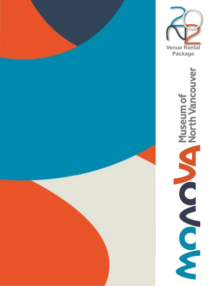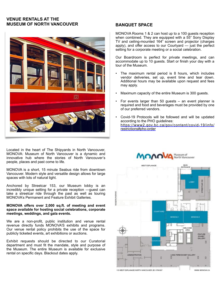## **VENUE RENTALS AT THE MUSEUM OF NORTH VANCOUVER**



Located in the heart of The Shipyards in North Vancouver, MONOVA: Museum of North Vancouver is a dynamic and innovative hub where the stories of North Vancouver's people, places and past come to life.

MONOVA is a short, 15 minute Seabus ride from downtown Vancouver. Modern style and versatile design allows for large spaces with lots of natural light.

Anchored by Streetcar 153, our Museum lobby is an incredibly unique setting for a private reception —guest can take a streetcar ride through the past as well as touring MONOVA's Permanent and Feature Exhibit Galleries.

#### **MONOVA offers over 2,000 sq.ft. of meeting and event space available for hosting social celebrations, corporate meetings, weddings, and gala events.**

We are a non-profit, public institution and venue rental revenue directly funds MONOVA'S exhibits and programs. Our venue rental policy prohibits the use of the space for publicly ticketed events, art exhibitions or auctions.

Exhibit requests should be directed to our Curatorial department and must fit the mandate, style and purpose of the Museum. The entire Museum is available for exclusive rental on specific days. Blackout dates apply.

# **BANQUET SPACE**

MONOVA Rooms 1 & 2 can host up to a 100 guests reception when combined. They are equipped with a 55" Sony Display TV and ceiling-mounted 164" screen and projector (charges apply), and offer access to our Courtyard — just the perfect setting for a corporate meeting or a social celebration.

Our Boardroom is perfect for private meetings, and can accommodate up to 10 guests. Start or finish your day with a tour of the Museum.

- The maximum rental period is 8 hours, which includes vendor deliveries, set up, event time and tear down. Additional hours may be available upon request and fees may apply.
- Maximum capacity of the entire Museum is 300 guests.
- For events larger than 50 guests  $-$  an event planner is required and food and beverages must be provided by one of our preferred vendors.
- Covid-19 Protocols will be followed and will be updated according to the PHO guidelines: [https://www2.gov.bc.ca/gov/content/covid-19/info/](https://www2.gov.bc.ca/gov/content/covid-19/info/restrictions#pho-order) [restrictions#pho-order](https://www2.gov.bc.ca/gov/content/covid-19/info/restrictions#pho-order)

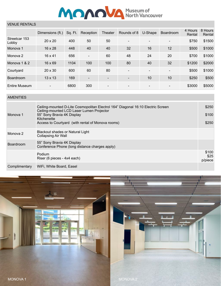

# VENUE RENTALS

|                        | Dimensions (ft.) | Sq. Ft. | Reception                | Theater                  | Rounds of 8              | U-Shape                  | Boardroom                | 4 Hours<br>Rental | 8 Hours<br>Rental |
|------------------------|------------------|---------|--------------------------|--------------------------|--------------------------|--------------------------|--------------------------|-------------------|-------------------|
| Streetcar 153<br>Lobby | $20 \times 20$   | 400     | 50                       | 50                       | $\overline{\phantom{a}}$ | $\overline{\phantom{a}}$ | $\overline{\phantom{0}}$ | \$750             | \$1500            |
| Monova 1               | $16 \times 28$   | 448     | 40                       | 40                       | 32                       | 16                       | 12                       | \$500             | \$1000            |
| Monova 2               | $16 \times 41$   | 656     | $\overline{\phantom{a}}$ | 60                       | 48                       | 24                       | 20                       | \$700             | \$1000            |
| Monova 1 & 2           | $16 \times 69$   | 1104    | 100                      | 100                      | 80                       | 40                       | 32                       | \$1200            | \$2000            |
| Courtyard              | $20 \times 30$   | 600     | 60                       | 80                       |                          | $\overline{\phantom{0}}$ | $\overline{\phantom{a}}$ | \$500             | \$1000            |
| Boardroom              | $13 \times 13$   | 169     | $\overline{\phantom{0}}$ | $\overline{\phantom{a}}$ |                          | 10                       | 10                       | \$250             | \$500             |
| Entire Museum          |                  | 6800    | 300                      | $\qquad \qquad$          |                          | $\qquad \qquad$          | $\overline{\phantom{0}}$ | \$3000            | \$5000            |

## AMENITIES

| Monova 1         | Ceiling-mounted D-Lite Cosmopolitan Electrol 164" Diagonal 16:10 Electric Screen<br>Ceiling-mounted LCD Laser Lumen Projector<br>55" Sony Bravia 4K Display<br>Kitchenette<br>Access to Courtyard (with rental of Monova rooms) | \$250<br>\$100<br>\$250  |
|------------------|---------------------------------------------------------------------------------------------------------------------------------------------------------------------------------------------------------------------------------|--------------------------|
| Monova 2         | Blackout shades or Natural Light<br>Collapsing Air Wall                                                                                                                                                                         |                          |
| <b>Boardroom</b> | 55" Sony Bravia 4K Display<br>Conference Phone (long distance charges apply)                                                                                                                                                    |                          |
|                  | Podium<br>Riser (6 pieces - 4x4 each)                                                                                                                                                                                           | \$100<br>\$25<br>p/piece |
| Complimentary    | WiFi, White Board, Easel                                                                                                                                                                                                        |                          |

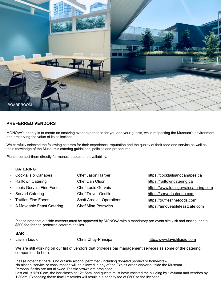

## **PREFERRED VENDORS**

MONOVA's priority is to create an amazing event experience for you and your guests, while respecting the Museum's environment and preserving the value of its collections.

We carefully selected the following caterers for their experience, reputation and the quality of their food and service as well as their knowledge of the Museum's catering guidelines, policies and procedures.

Please contact them directly for menus, quotes and availability.

#### **CATERING**

| https://cocktailsandcanapes.ca       |
|--------------------------------------|
|                                      |
| https://www.louisgervaiscatering.com |
| https://servedcatering.com           |
| https://trufflesfinefoods.com        |
| https://amoveablefeastcafe.com       |
| https://railtowncatering.ca          |

Please note that outside caterers must be approved by MONOVA with a mandatory pre-event site visit and tasting, and a \$800 fee for non-preferred caterers applies.

#### **BAR**

• Lavish Liquid **Chris Chuy-Principal** <http://www.lavishliquid.com>

We are still working on our list of vendors that provides bar management services as some of the catering companies do both.

Please note that there is no outside alcohol permitted (including donated product or home-brew). No alcohol service or consumption will be allowed in any of the Exhibit areas and/or outside the Museum. Personal flasks are not allowed. Plastic straws are prohibited. Last call is 12:00 am, the bar closes at 12:15am, and guests must have vacated the building by 12:30am and vendors by 1:30am. Exceeding these time limitations will result in a penalty fee of \$500 to the licensee.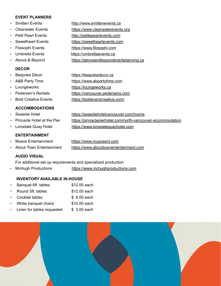### **EVENT PLANNERS**

- Smitten Events <http://www.smittenevents.ca>
- Clearwater Events <https://www.clearwaterevents.org>
- Petit Pearl Events <http://petitepearlevents.com>
- Sweetheart Events <https://sweetheartevents.com>
- Filosophi Events <https://www.filosophi.com>
- Umbrella Events <https://umbrellaevents.ca>
- 

# **DECOR**

- 
- 
- 
- 
- 

# **ACCOMMODATIONS**

- 
- 
- 

# **ENTERTAINMENT**

- 
- 

**AUDIO VISUAL**

For additional set up requirements and specialized production

• McHugh Productions <https://www.mchughproductions.com>

## **INVENTORY AVAILABLE IN-HOUSE**

| $\bullet$ . | Banquet 6ft. tables          | \$12.00 each |
|-------------|------------------------------|--------------|
| $\bullet$ . | Round 5ft. tables            | \$12.00 each |
|             | • Cocktail tables            | \$ 8.00 each |
|             | • White banquet chairs       | \$10.00 each |
|             | • Linen for tables requested | \$ 3.00 each |



- Above & Beyond <https://aboveandbeyondeventplanning.ca> • Bespoke Décor <https://bespokedecor.ca> A&B Party Time <https://www.abpartytime.com> • Loungeworks <https://loungeworks.ca> • Pedersen's Rentals <https://vancouver.pedersens.com>
- Bold Creative Events <https://boldeventcreative.com/>
- Seaside Hotel <https://seasidehotelvancouver.com/rooms> • Pinnacle Hotel at the Pier <https://pinnaclepierhotel.com/north-vancouver-accommodation> • Lonsdale Quay Hotel <https://www.lonsdalequayhotel.com>
- Musos Entertainment <https://www.musosent.com> • About Town Entertainment <https://www.abouttownentertainment.com>
-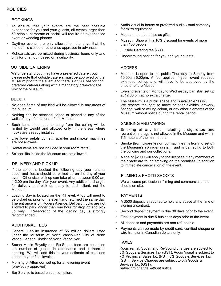# **POLICIES**

#### **BOOKINGS**

- To ensure that your events are the best possible experience for you and your guests, all events larger than 50 people, corporate or social, will require an experienced event or wedding planner.
- Daytime events are only allowed on the days that the museum is closed or otherwise approved in advance.
- Rehearsals are permitted during business hours only and only for one hour, based on availability.

### OUTSIDE CATERING

 We understand you may have a preferred caterer, but please note that outside caterers must be approved by the Museum prior to the event and there is a \$500 fee for non preferred caterers along with a mandatory pre-event site visit of the Museum.

#### **DECOR**

- No open flame of any kind will be allowed in any areas of the Museum.
- Nothing can be attached, taped or pinned to any of the walls of any of the areas of the Museum.
- Such items that need to hang from the ceiling will be limited by weight and allowed only in the areas where hooks are already installed.
- Live flower petals, confetti, sparkles and smoke machines are not allowed.
- Rental items are not included in your room rental.
- Scissor lifts inside the Museum are not allowed.

#### DELIVERY AND PICK UP

- If the space is booked the following day your rentals, decor and florals should be picked up on the day of your event. Otherwise, pick up can take place between 9:00 am -12:00 pm the day after your event. Any additional charges for delivery and pick up apply to each client, not the Museum.
- Loading Bay is located on the R1 level. A fob will need to be picked up prior to the event and returned the same day. The entrance is on Rogers Avenue. Delivery trucks are not allowed to park longer than one hour for drop off and pick up only. Reservation of the loading bay is strongly recommended.

#### ADDITIONAL FEES

- General Liability Insurance of \$5 million dollars listed under the Museum of North Vancouver, City of North Vancouver and District of North Vancouver.
- Socan Music Royalty and Re-Sound fees are based on the number of guests in attendance and if there is dancing. We will add this to your estimate of cost and added to your final invoice.
- Morning or Afternoon set up for an evening event (previously approved)
- Bar Service is based on consumption.
- Audio visual in-house or preferred audio visual company for extra equipment.
- Museum memberships as gifts.
- Museum Shop with a 10% discount for events of more than 100 people.
- Outside Catering fee \$500.
- Underground parking for you and your guests.

### **ACCESS**

- Museum is open to the public Thursday to Sunday from 10:00am-5:00pm. A fee applies if your event requires extended set up and will have to be approved by the director of the Museum.
- Evening events on Monday to Wednesday can start set up at 12:00 pm at no extra charge.
- The Museum is a public space and is available "as is". We reserve the right to move or alter exhibits, artwork, flooring, wall or ceiling colour, or any other elements of the Museum without notice during the rental period.

#### SMOKING AND VAPING

- Smoking of any kind including e-cigarettes and recreational drugs is not allowed in the Museum and within 7.5 meters of the main doors.
- Smoke (from cigarettes or fog machines) is likely to set off the Museum's sprinkler system, and is damaging to both the building and our collections.
- A fine of \$2000 will apply to the licensee if any members of their party are found smoking on the premises, in addition to immediate cancellation of the event.

### FILMING & PHOTO SHOOTS

 We welcome professional filming and commercial photo shoots on site.

#### PAYMENTS

- A \$500 deposit is required to hold any space at the time of signing a contract.
- Second deposit payment is due 30 days prior to the event.
- Final payment is due 5 business days prior to the event.
- All deposits and payments are non-refundable.
- Payments can be made by credit card, certified cheque or wire transfer in Canadian dollars only.

#### **TAXES**

 Room rental, Socan and Re-Sound charges are subject to 5% Goods & Services Tax (GST), Audio Visual is subject to 7% Provincial Sales Tax (PST) 5% Goods & Services Tax (GST), Service Charges are subject to 5% Goods & Services Tax (GST). *Subject to change without notice.*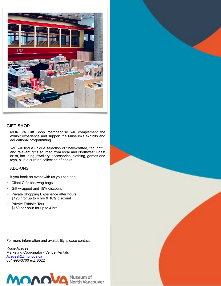

### **GIFT SHOP**

MONOVA Gift Shop merchandise will complement the exhibit experience and support the Museum's exhibits and educational programming.

You will find a unique selection of finely-crafted, thoughtful and relevant gifts sourced from local and Northwest Coast artist, including jewellery, accessories, clothing, games and toys, plus a curated collection of books.

#### ADD-ONS

If you book an event with us you can add:

- Client Gifts for swag bags
- Gift wrapped and 15% discount
- Private Shopping Experience after hours \$120 / for up to 4 hrs & 10% discount
- Private Exhibits Tour \$150 per hour for up to 4 hrs

For more information and availability, please contact:

Rosie Aceves Marketing Coordinator - Venue Rentals [AcevesR@monova.ca](mailto:AcevesR@monova.ca) 604-990-3700 ext. 8022